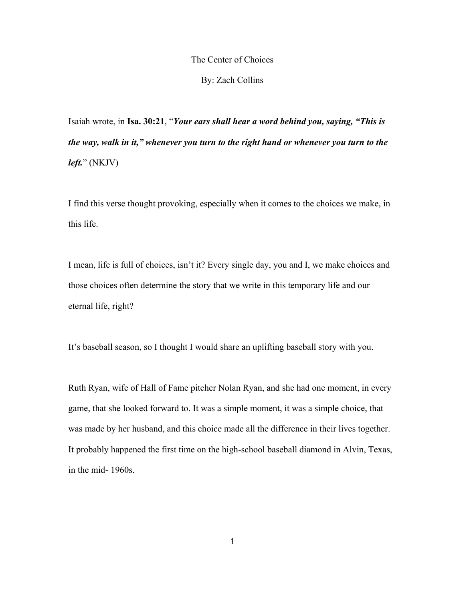### The Center of Choices

#### By: Zach Collins

Isaiah wrote, in **Isa. 30:21**, "*Your ears shall hear a word behind you, saying, "This is the way, walk in it," whenever you turn to the right hand or whenever you turn to the left.*" (NKJV)

I find this verse thought provoking, especially when it comes to the choices we make, in this life.

I mean, life is full of choices, isn't it? Every single day, you and I, we make choices and those choices often determine the story that we write in this temporary life and our eternal life, right?

It's baseball season, so I thought I would share an uplifting baseball story with you.

Ruth Ryan, wife of Hall of Fame pitcher Nolan Ryan, and she had one moment, in every game, that she looked forward to. It was a simple moment, it was a simple choice, that was made by her husband, and this choice made all the difference in their lives together. It probably happened the first time on the high-school baseball diamond in Alvin, Texas, in the mid- 1960s.

1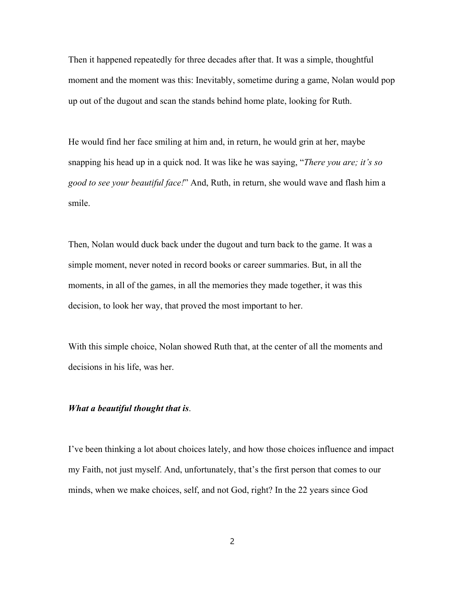Then it happened repeatedly for three decades after that. It was a simple, thoughtful moment and the moment was this: Inevitably, sometime during a game, Nolan would pop up out of the dugout and scan the stands behind home plate, looking for Ruth.

He would find her face smiling at him and, in return, he would grin at her, maybe snapping his head up in a quick nod. It was like he was saying, "*There you are; it's so good to see your beautiful face!*" And, Ruth, in return, she would wave and flash him a smile.

Then, Nolan would duck back under the dugout and turn back to the game. It was a simple moment, never noted in record books or career summaries. But, in all the moments, in all of the games, in all the memories they made together, it was this decision, to look her way, that proved the most important to her.

With this simple choice, Nolan showed Ruth that, at the center of all the moments and decisions in his life, was her.

### *What a beautiful thought that is*.

I've been thinking a lot about choices lately, and how those choices influence and impact my Faith, not just myself. And, unfortunately, that's the first person that comes to our minds, when we make choices, self, and not God, right? In the 22 years since God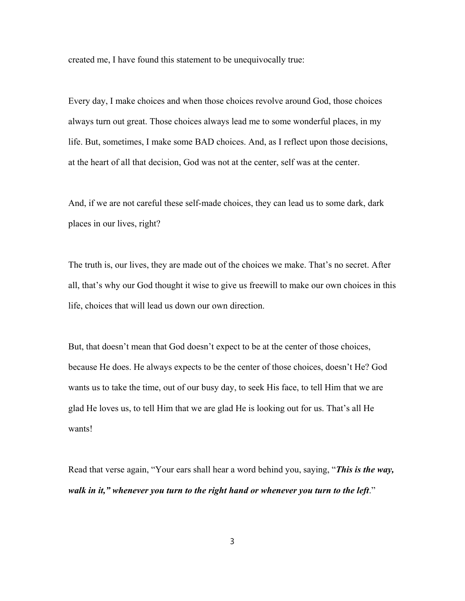created me, I have found this statement to be unequivocally true:

Every day, I make choices and when those choices revolve around God, those choices always turn out great. Those choices always lead me to some wonderful places, in my life. But, sometimes, I make some BAD choices. And, as I reflect upon those decisions, at the heart of all that decision, God was not at the center, self was at the center.

And, if we are not careful these self-made choices, they can lead us to some dark, dark places in our lives, right?

The truth is, our lives, they are made out of the choices we make. That's no secret. After all, that's why our God thought it wise to give us freewill to make our own choices in this life, choices that will lead us down our own direction.

But, that doesn't mean that God doesn't expect to be at the center of those choices, because He does. He always expects to be the center of those choices, doesn't He? God wants us to take the time, out of our busy day, to seek His face, to tell Him that we are glad He loves us, to tell Him that we are glad He is looking out for us. That's all He wants!

Read that verse again, "Your ears shall hear a word behind you, saying, "*This is the way,*  walk in it," whenever you turn to the right hand or whenever you turn to the left."